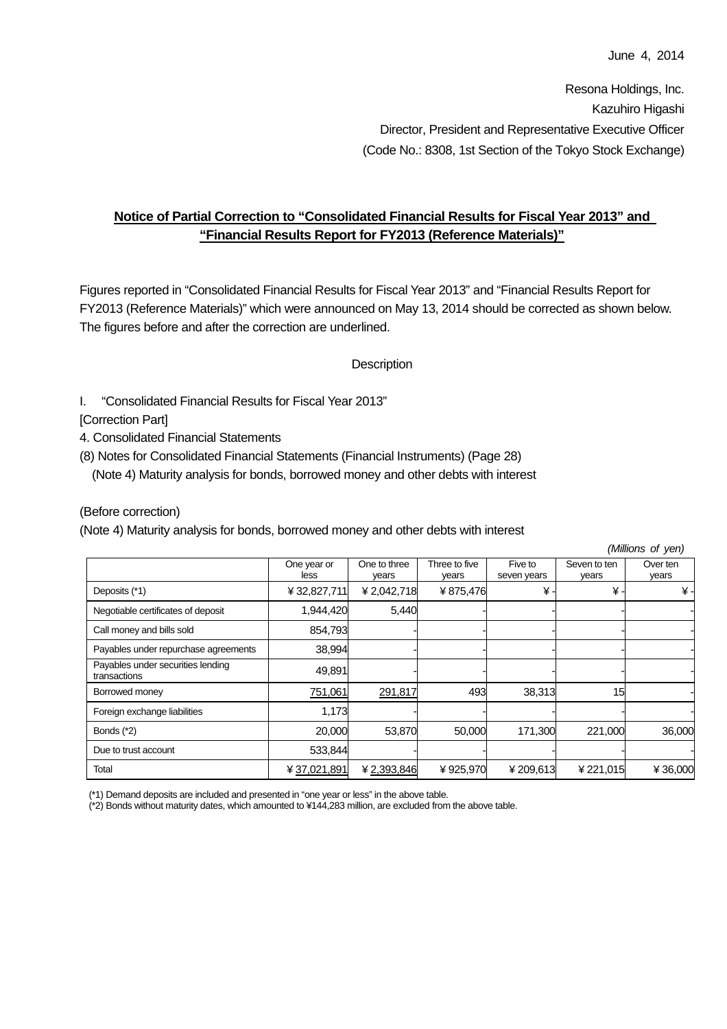Resona Holdings, Inc. Kazuhiro Higashi Director, President and Representative Executive Officer (Code No.: 8308, 1st Section of the Tokyo Stock Exchange)

# **Notice of Partial Correction to "Consolidated Financial Results for Fiscal Year 2013" and "Financial Results Report for FY2013 (Reference Materials)"**

Figures reported in "Consolidated Financial Results for Fiscal Year 2013" and "Financial Results Report for FY2013 (Reference Materials)" which were announced on May 13, 2014 should be corrected as shown below. The figures before and after the correction are underlined.

## **Description**

I. "Consolidated Financial Results for Fiscal Year 2013"

[Correction Part]

- 4. Consolidated Financial Statements
- (8) Notes for Consolidated Financial Statements (Financial Instruments) (Page 28)

(Note 4) Maturity analysis for bonds, borrowed money and other debts with interest

## (Before correction)

(Note 4) Maturity analysis for bonds, borrowed money and other debts with interest

|                                                   | (Millions of yen)   |                       |                        |                        |                       |                   |
|---------------------------------------------------|---------------------|-----------------------|------------------------|------------------------|-----------------------|-------------------|
|                                                   | One year or<br>less | One to three<br>vears | Three to five<br>vears | Five to<br>seven years | Seven to ten<br>years | Over ten<br>years |
| Deposits (*1)                                     | ¥ 32,827,711        | ¥2,042,718            | ¥875,476               | ¥.                     | ¥.                    | ¥-                |
| Negotiable certificates of deposit                | 1,944,420           | 5,440                 |                        |                        |                       |                   |
| Call money and bills sold                         | 854,793             |                       |                        |                        |                       |                   |
| Payables under repurchase agreements              | 38,994              |                       |                        |                        |                       |                   |
| Payables under securities lending<br>transactions | 49,891              |                       |                        |                        |                       |                   |
| Borrowed money                                    | 751,061             | 291,817               | 493                    | 38,313                 | 15                    |                   |
| Foreign exchange liabilities                      | 1,173               |                       |                        |                        |                       |                   |
| Bonds $(*2)$                                      | 20,000              | 53,870                | 50,000                 | 171,300                | 221,000               | 36,000            |
| Due to trust account                              | 533,844             |                       |                        |                        |                       |                   |
| Total                                             | ¥ 37,021,891        | ¥2,393,846            | ¥925,970               | ¥209,613               | ¥221,015              | ¥36,000           |

(\*1) Demand deposits are included and presented in "one year or less" in the above table.

(\*2) Bonds without maturity dates, which amounted to ¥144,283 million, are excluded from the above table.